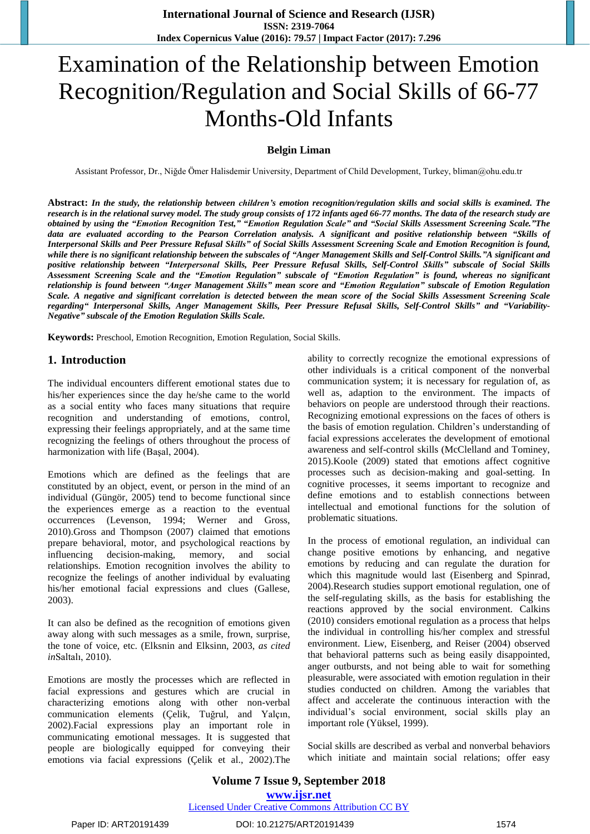# Examination of the Relationship between Emotion Recognition/Regulation and Social Skills of 66-77 Months-Old Infants

## **Belgin Liman**

Assistant Professor, Dr., Niğde Ömer Halisdemir University, Department of Child Development, Turkey, bliman@ohu.edu.tr

Abstract: In the study, the relationship between children's emotion recognition/regulation skills and social skills is examined. The research is in the relational survey model. The study group consists of 172 infants aged 66-77 months. The data of the research study are obtained by using the "Emotion Recognition Test," "Emotion Regulation Scale" and "Social Skills Assessment Screening Scale."The data are evaluated according to the Pearson Correlation analysis. A significant and positive relationship between "Skills of Interpersonal Skills and Peer Pressure Refusal Skills" of Social Skills Assessment Screening Scale and Emotion Recognition is found, while there is no significant relationship between the subscales of "Anger Management Skills and Self-Control Skills."A significant and positive relationship between "Interpersonal Skills, Peer Pressure Refusal Skills, Self-Control Skills" subscale of Social Skills Assessment Screening Scale and the "Emotion Regulation" subscale of "Emotion Regulation" is found, whereas no significant relationship is found between "Anger Management Skills" mean score and "Emotion Regulation" subscale of Emotion Regulation Scale. A negative and significant correlation is detected between the mean score of the Social Skills Assessment Screening Scale regarding" Interpersonal Skills, Anger Management Skills, Peer Pressure Refusal Skills, Self-Control Skills" and "Variability-*Negative" subscale of the Emotion Regulation Skills Scale.*

**Keywords:** Preschool, Emotion Recognition, Emotion Regulation, Social Skills.

#### **1. Introduction**

The individual encounters different emotional states due to his/her experiences since the day he/she came to the world as a social entity who faces many situations that require recognition and understanding of emotions, control, expressing their feelings appropriately, and at the same time recognizing the feelings of others throughout the process of harmonization with life (Başal, 2004).

Emotions which are defined as the feelings that are constituted by an object, event, or person in the mind of an individual (Güngör, 2005) tend to become functional since the experiences emerge as a reaction to the eventual occurrences (Levenson, 1994; Werner and Gross, 2010).Gross and Thompson (2007) claimed that emotions prepare behavioral, motor, and psychological reactions by influencing decision-making, memory, and social relationships. Emotion recognition involves the ability to recognize the feelings of another individual by evaluating his/her emotional facial expressions and clues (Gallese, 2003).

It can also be defined as the recognition of emotions given away along with such messages as a smile, frown, surprise, the tone of voice, etc. (Elksnin and Elksinn, 2003, *as cited in*Saltalı, 2010).

Emotions are mostly the processes which are reflected in facial expressions and gestures which are crucial in characterizing emotions along with other non-verbal communication elements (Çelik, Tuğrul, and Yalçın, 2002).Facial expressions play an important role in communicating emotional messages. It is suggested that people are biologically equipped for conveying their emotions via facial expressions (Çelik et al., 2002).The ability to correctly recognize the emotional expressions of other individuals is a critical component of the nonverbal communication system; it is necessary for regulation of, as well as, adaption to the environment. The impacts of behaviors on people are understood through their reactions. Recognizing emotional expressions on the faces of others is the basis of emotion regulation. Children's understanding of facial expressions accelerates the development of emotional awareness and self-control skills (McClelland and Tominey, 2015).Koole (2009) stated that emotions affect cognitive processes such as decision-making and goal-setting. In cognitive processes, it seems important to recognize and define emotions and to establish connections between intellectual and emotional functions for the solution of problematic situations.

In the process of emotional regulation, an individual can change positive emotions by enhancing, and negative emotions by reducing and can regulate the duration for which this magnitude would last (Eisenberg and Spinrad, 2004).Research studies support emotional regulation, one of the self-regulating skills, as the basis for establishing the reactions approved by the social environment. Calkins (2010) considers emotional regulation as a process that helps the individual in controlling his/her complex and stressful environment. Liew, Eisenberg, and Reiser (2004) observed that behavioral patterns such as being easily disappointed, anger outbursts, and not being able to wait for something pleasurable, were associated with emotion regulation in their studies conducted on children. Among the variables that affect and accelerate the continuous interaction with the individual's social environment, social skills play an important role (Yüksel, 1999).

Social skills are described as verbal and nonverbal behaviors which initiate and maintain social relations; offer easy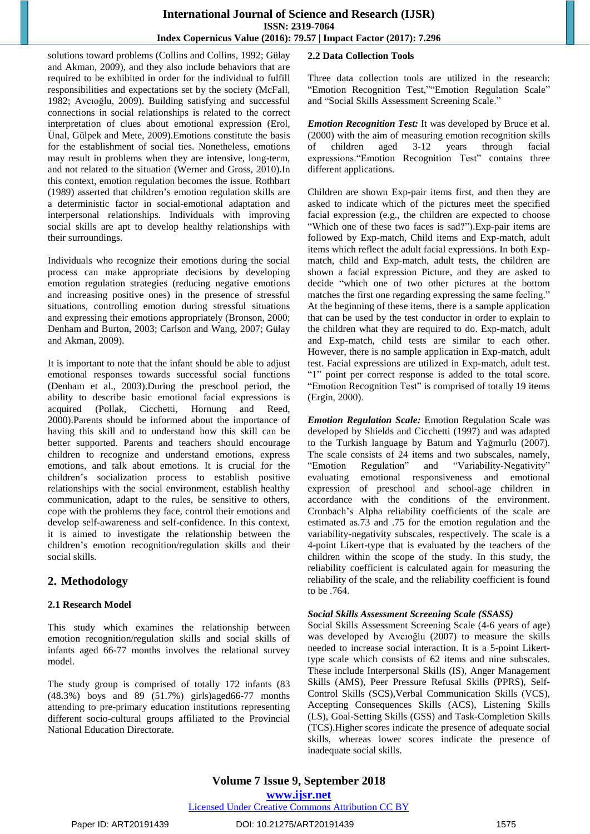## **International Journal of Science and Research (IJSR) ISSN: 2319-7064 Index Copernicus Value (2016): 79.57 | Impact Factor (2017): 7.296**

solutions toward problems (Collins and Collins, 1992; Gülay and Akman, 2009), and they also include behaviors that are required to be exhibited in order for the individual to fulfill responsibilities and expectations set by the society (McFall, 1982; Avcıoğlu, 2009). Building satisfying and successful connections in social relationships is related to the correct interpretation of clues about emotional expression (Erol, Ünal, Gülpek and Mete, 2009).Emotions constitute the basis for the establishment of social ties. Nonetheless, emotions may result in problems when they are intensive, long-term, and not related to the situation (Werner and Gross, 2010).In this context, emotion regulation becomes the issue. Rothbart (1989) asserted that children's emotion regulation skills are a deterministic factor in social-emotional adaptation and interpersonal relationships. Individuals with improving social skills are apt to develop healthy relationships with their surroundings.

Individuals who recognize their emotions during the social process can make appropriate decisions by developing emotion regulation strategies (reducing negative emotions and increasing positive ones) in the presence of stressful situations, controlling emotion during stressful situations and expressing their emotions appropriately (Bronson, 2000; Denham and Burton, 2003; Carlson and Wang, 2007; Gülay and Akman, 2009).

It is important to note that the infant should be able to adjust emotional responses towards successful social functions (Denham et al., 2003).During the preschool period, the ability to describe basic emotional facial expressions is acquired (Pollak, Cicchetti, Hornung and Reed, 2000).Parents should be informed about the importance of having this skill and to understand how this skill can be better supported. Parents and teachers should encourage children to recognize and understand emotions, express emotions, and talk about emotions. It is crucial for the children's socialization process to establish positive relationships with the social environment, establish healthy communication, adapt to the rules, be sensitive to others, cope with the problems they face, control their emotions and develop self-awareness and self-confidence. In this context, it is aimed to investigate the relationship between the children's emotion recognition/regulation skills and their social skills.

## **2. Methodology**

#### **2.1 Research Model**

This study which examines the relationship between emotion recognition/regulation skills and social skills of infants aged 66-77 months involves the relational survey model.

The study group is comprised of totally 172 infants (83 (48.3%) boys and 89 (51.7%) girls)aged66-77 months attending to pre-primary education institutions representing different socio-cultural groups affiliated to the Provincial National Education Directorate.

## **2.2 Data Collection Tools**

Three data collection tools are utilized in the research: "Emotion Recognition Test,""Emotion Regulation Scale" and "Social Skills Assessment Screening Scale."

*Emotion Recognition Test:* It was developed by Bruce et al. (2000) with the aim of measuring emotion recognition skills of children aged 3-12 years through facial expressions."Emotion Recognition Test" contains three different applications.

Children are shown Exp-pair items first, and then they are asked to indicate which of the pictures meet the specified facial expression (e.g., the children are expected to choose "Which one of these two faces is sad?").Exp-pair items are followed by Exp-match, Child items and Exp-match, adult items which reflect the adult facial expressions. In both Expmatch, child and Exp-match, adult tests, the children are shown a facial expression Picture, and they are asked to decide "which one of two other pictures at the bottom matches the first one regarding expressing the same feeling." At the beginning of these items, there is a sample application that can be used by the test conductor in order to explain to the children what they are required to do. Exp-match, adult and Exp-match, child tests are similar to each other. However, there is no sample application in Exp-match, adult test. Facial expressions are utilized in Exp-match, adult test. "1" point per correct response is added to the total score. "Emotion Recognition Test" is comprised of totally 19 items (Ergin, 2000).

*Emotion Regulation Scale:* Emotion Regulation Scale was developed by Shields and Cicchetti (1997) and was adapted to the Turkish language by Batum and Yağmurlu (2007). The scale consists of 24 items and two subscales, namely, "Emotion Regulation" and "Variability-Negativity" evaluating emotional responsiveness and emotional expression of preschool and school-age children in accordance with the conditions of the environment. Cronbach's Alpha reliability coefficients of the scale are estimated as.73 and .75 for the emotion regulation and the variability-negativity subscales, respectively. The scale is a 4-point Likert-type that is evaluated by the teachers of the children within the scope of the study. In this study, the reliability coefficient is calculated again for measuring the reliability of the scale, and the reliability coefficient is found to be .764.

#### *Social Skills Assessment Screening Scale (SSASS)*

Social Skills Assessment Screening Scale (4-6 years of age) was developed by Avcıoğlu (2007) to measure the skills needed to increase social interaction. It is a 5-point Likerttype scale which consists of 62 items and nine subscales. These include Interpersonal Skills (IS), Anger Management Skills (AMS), Peer Pressure Refusal Skills (PPRS), Self-Control Skills (SCS),Verbal Communication Skills (VCS), Accepting Consequences Skills (ACS), Listening Skills (LS), Goal-Setting Skills (GSS) and Task-Completion Skills (TCS).Higher scores indicate the presence of adequate social skills, whereas lower scores indicate the presence of inadequate social skills.

**Volume 7 Issue 9, September 2018 www.ijsr.net** Licensed Under Creative Commons Attribution CC BY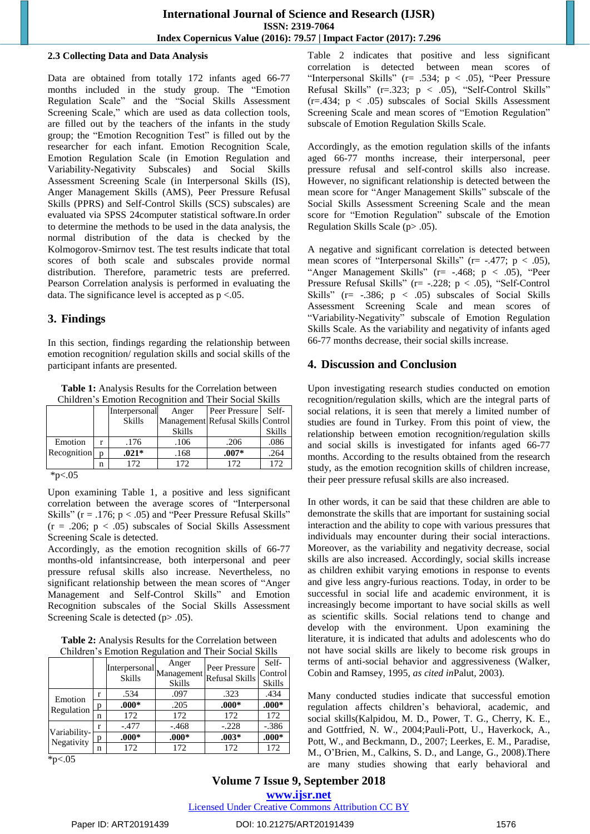## **International Journal of Science and Research (IJSR) ISSN: 2319-7064 Index Copernicus Value (2016): 79.57 | Impact Factor (2017): 7.296**

#### **2.3 Collecting Data and Data Analysis**

Data are obtained from totally 172 infants aged 66-77 months included in the study group. The "Emotion Regulation Scale" and the "Social Skills Assessment Screening Scale," which are used as data collection tools, are filled out by the teachers of the infants in the study group; the "Emotion Recognition Test" is filled out by the researcher for each infant. Emotion Recognition Scale, Emotion Regulation Scale (in Emotion Regulation and Variability-Negativity Subscales) and Social Skills Assessment Screening Scale (in Interpersonal Skills (IS), Anger Management Skills (AMS), Peer Pressure Refusal Skills (PPRS) and Self-Control Skills (SCS) subscales) are evaluated via SPSS 24computer statistical software.In order to determine the methods to be used in the data analysis, the normal distribution of the data is checked by the Kolmogorov-Smirnov test. The test results indicate that total scores of both scale and subscales provide normal distribution. Therefore, parametric tests are preferred. Pearson Correlation analysis is performed in evaluating the data. The significance level is accepted as  $p < .05$ .

## **3. Findings**

In this section, findings regarding the relationship between emotion recognition/ regulation skills and social skills of the participant infants are presented.

**Table 1:** Analysis Results for the Correlation between Children's Emotion Recognition and Their Social Skills

|                     |   | Interpersonal | Anger         | Peer Pressure                     | Self-         |
|---------------------|---|---------------|---------------|-----------------------------------|---------------|
|                     |   | <b>Skills</b> |               | Management Refusal Skills Control |               |
|                     |   |               | <b>Skills</b> |                                   | <b>Skills</b> |
| Emotion             |   | .176          | .106          | .206                              | .086          |
| Recognition         | n | $.021*$       | .168          | $.007*$                           | .264          |
|                     | n | 172           | 172           | 172                               | 172           |
| $\lambda - \lambda$ |   |               |               |                                   |               |

\*p<.05

Upon examining Table 1, a positive and less significant correlation between the average scores of "Interpersonal Skills" ( $r = .176$ ;  $p < .05$ ) and "Peer Pressure Refusal Skills"  $(r = .206; p < .05)$  subscales of Social Skills Assessment Screening Scale is detected.

Accordingly, as the emotion recognition skills of 66-77 months-old infantsincrease, both interpersonal and peer pressure refusal skills also increase. Nevertheless, no significant relationship between the mean scores of "Anger Management and Self-Control Skills" and Emotion Recognition subscales of the Social Skills Assessment Screening Scale is detected (p > .05).

**Table 2:** Analysis Results for the Correlation between Children's Emotion Regulation and Their Social Skills

|                            |   | [Interpersonal <sub>Management</sub> ]<br><b>Skills</b> | Anger<br><b>Skills</b> | Peer Pressure<br><b>Refusal Skills</b> | Self-<br>Control<br><b>Skills</b> |
|----------------------------|---|---------------------------------------------------------|------------------------|----------------------------------------|-----------------------------------|
| Emotion<br>Regulation      |   | .534                                                    | .097                   | .323                                   | .434                              |
|                            | n | $.000*$                                                 | .205                   | $.000*$                                | $.000*$                           |
|                            | n | 172                                                     | 172                    | 172                                    | 172                               |
| Variability-<br>Negativity |   | $-.477$                                                 | $-.468$                | $-.228$                                | $-.386$                           |
|                            | p | $.000*$                                                 | $.000*$                | $.003*$                                | $.000*$                           |
|                            | n | 172                                                     | 172                    | 172                                    | 172                               |

 $*_{p<.05}$ 

Table 2 indicates that positive and less significant correlation is detected between mean scores of "Interpersonal Skills" (r= .534; p < .05), "Peer Pressure Refusal Skills" (r=.323; p < .05), "Self-Control Skills"  $(r=.434; p < .05)$  subscales of Social Skills Assessment Screening Scale and mean scores of "Emotion Regulation" subscale of Emotion Regulation Skills Scale.

Accordingly, as the emotion regulation skills of the infants aged 66-77 months increase, their interpersonal, peer pressure refusal and self-control skills also increase. However, no significant relationship is detected between the mean score for "Anger Management Skills" subscale of the Social Skills Assessment Screening Scale and the mean score for "Emotion Regulation" subscale of the Emotion Regulation Skills Scale (p> .05).

A negative and significant correlation is detected between mean scores of "Interpersonal Skills" ( $r = -0.477$ ; p < .05), "Anger Management Skills" ( $r = -0.468$ ;  $p < 0.05$ ), "Peer Pressure Refusal Skills" (r= -.228; p < .05), "Self-Control Skills" ( $r = -.386$ ;  $p < .05$ ) subscales of Social Skills Assessment Screening Scale and mean scores of "Variability-Negativity" subscale of Emotion Regulation Skills Scale. As the variability and negativity of infants aged 66-77 months decrease, their social skills increase.

## **4. Discussion and Conclusion**

Upon investigating research studies conducted on emotion recognition/regulation skills, which are the integral parts of social relations, it is seen that merely a limited number of studies are found in Turkey. From this point of view, the relationship between emotion recognition/regulation skills and social skills is investigated for infants aged 66-77 months. According to the results obtained from the research study, as the emotion recognition skills of children increase, their peer pressure refusal skills are also increased.

In other words, it can be said that these children are able to demonstrate the skills that are important for sustaining social interaction and the ability to cope with various pressures that individuals may encounter during their social interactions. Moreover, as the variability and negativity decrease, social skills are also increased. Accordingly, social skills increase as children exhibit varying emotions in response to events and give less angry-furious reactions. Today, in order to be successful in social life and academic environment, it is increasingly become important to have social skills as well as scientific skills. Social relations tend to change and develop with the environment. Upon examining the literature, it is indicated that adults and adolescents who do not have social skills are likely to become risk groups in terms of anti-social behavior and aggressiveness (Walker, Cobin and Ramsey, 1995, *as cited in*Palut, 2003).

Many conducted studies indicate that successful emotion regulation affects children's behavioral, academic, and social skills(Kalpidou, M. D., Power, T. G., Cherry, K. E., and Gottfried, N. W., 2004;Pauli-Pott, U., Haverkock, A., Pott, W., and Beckmann, D., 2007; Leerkes, E. M., Paradise, M., O'Brien, M., Calkins, S. D., and Lange, G., 2008).There are many studies showing that early behavioral and

**Volume 7 Issue 9, September 2018 www.ijsr.net** Licensed Under Creative Commons Attribution CC BY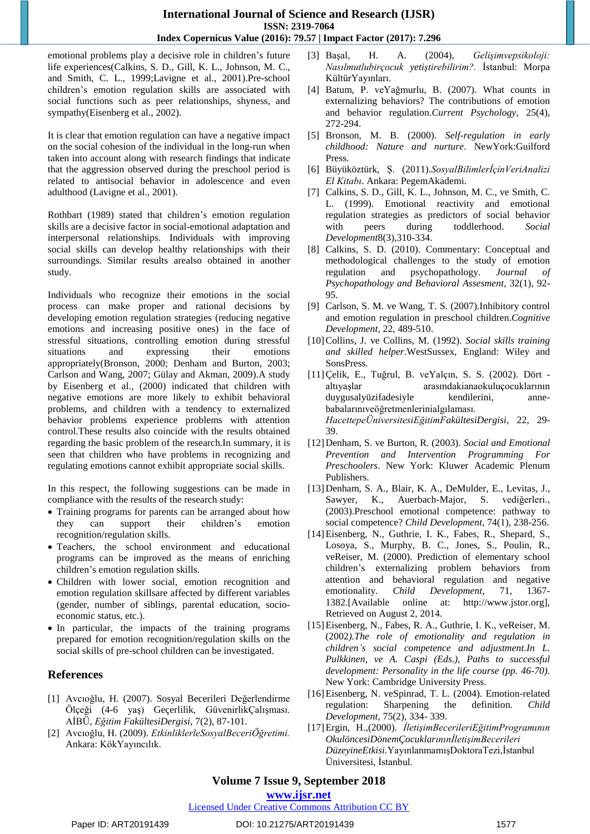## **International Journal of Science and Research (IJSR) ISSN: 2319-7064 Index Copernicus Value (2016): 79.57 | Impact Factor (2017): 7.296**

emotional problems play a decisive role in children's future life experiences(Calkins, S. D., Gill, K. L., Johnson, M. C., and Smith, C. L., 1999;Lavigne et al., 2001).Pre-school children's emotion regulation skills are associated with social functions such as peer relationships, shyness, and sympathy(Eisenberg et al., 2002).

It is clear that emotion regulation can have a negative impact on the social cohesion of the individual in the long-run when taken into account along with research findings that indicate that the aggression observed during the preschool period is related to antisocial behavior in adolescence and even adulthood (Lavigne et al., 2001).

Rothbart (1989) stated that children's emotion regulation skills are a decisive factor in social-emotional adaptation and interpersonal relationships. Individuals with improving social skills can develop healthy relationships with their surroundings. Similar results arealso obtained in another study.

Individuals who recognize their emotions in the social process can make proper and rational decisions by developing emotion regulation strategies (reducing negative emotions and increasing positive ones) in the face of stressful situations, controlling emotion during stressful situations and expressing their emotions appropriately(Bronson, 2000; Denham and Burton, 2003; Carlson and Wang, 2007; Gülay and Akman, 2009).A study by Eisenberg et al., (2000) indicated that children with negative emotions are more likely to exhibit behavioral problems, and children with a tendency to externalized behavior problems experience problems with attention control.These results also coincide with the results obtained regarding the basic problem of the research.In summary, it is seen that children who have problems in recognizing and regulating emotions cannot exhibit appropriate social skills.

In this respect, the following suggestions can be made in compliance with the results of the research study:

- Training programs for parents can be arranged about how they can support their children's emotion recognition/regulation skills.
- Teachers, the school environment and educational programs can be improved as the means of enriching children's emotion regulation skills.
- Children with lower social, emotion recognition and emotion regulation skillsare affected by different variables (gender, number of siblings, parental education, socioeconomic status, etc.).
- In particular, the impacts of the training programs prepared for emotion recognition/regulation skills on the social skills of pre-school children can be investigated.

## **References**

- [1] Avcıoğlu, H. (2007). Sosyal Becerileri Değerlendirme Ölçeği (4-6 yaş) Geçerlilik, GüvenirlikÇalışması. AİBÜ, *Eğitim FakültesiDergisi*, 7(2), 87-101.
- [2] Avcıoğlu, H. (2009). *EtkinliklerleSosyalBeceriÖğretimi.* Ankara: KökYayıncılık.
- [3] Başal, H. A. (2004), *Gelişimvepsikoloji: Nasılmutlubirçocuk yetiştirebilirim?.* İstanbul: Morpa KültürYayınları.
- [4] Batum, P. veYağmurlu, B. (2007). What counts in externalizing behaviors? The contributions of emotion and behavior regulation.*Current Psychology,* 25(4), 272-294.
- [5] Bronson, M. B. (2000). *Self-regulation in early childhood: Nature and nurture*. NewYork:Guilford Press.
- [6] Büyüköztürk, Ş. (2011).*SosyalBilimlerİçinVeriAnalizi El Kitabı*. Ankara: PegemAkademi.
- [7] Calkins, S. D., Gill, K. L., Johnson, M. C., ve Smith, C. L. (1999). Emotional reactivity and emotional regulation strategies as predictors of social behavior with peers during toddlerhood. *Social Development*8(3),310-334.
- [8] Calkins, S. D. (2010). Commentary: Conceptual and methodological challenges to the study of emotion regulation and psychopathology. *Journal of Psychopathology and Behavioral Assesment,* 32(1), 92- 95.
- [9] Carlson, S. M. ve Wang, T. S. (2007).Inhibitory control and emotion regulation in preschool children.*Cognitive Development,* 22, 489-510.
- [10]Collins, J. ve Collins, M. (1992). *Social skills training and skilled helper*.WestSussex, England: Wiley and SonsPress.
- [11]Çelik, E., Tuğrul, B. veYalçın, S. S. (2002). Dört altıyaşlar arasındakianaokuluçocuklarının duygusalyüzifadesiyle kendilerini, annebabalarınıveöğretmenlerinialgılaması. *HacettepeÜniversitesiEğitimFakültesiDergisi*, 22, 29- 39.
- [12]Denham, S. ve Burton, R. (2003). *Social and Emotional Prevention and Intervention Programming For Preschoolers*. New York: Kluwer Academic Plenum Publishers.
- [13]Denham, S. A., Blair, K. A., DeMulder, E., Levitas, J., Sawyer, K., Auerbach-Major, S. vediğerleri., (2003).Preschool emotional competence: pathway to social competence? *Child Development,* 74(1), 238-256.
- [14]Eisenberg, N., Guthrie, I. K., Fabes, R., Shepard, S., Losoya, S., Murphy, B. C., Jones, S., Poulin, R., veReiser, M. (2000). Prediction of elementary school children's externalizing problem behaviors from attention and behavioral regulation and negative emotionality. *Child Development*, 71, 1367- 1382.[Available online at: http://www.jstor.org], Retrieved on August 2, 2014.
- [15]Eisenberg, N., Fabes, R. A., Guthrie, I. K., veReiser, M. (2002*).The role of emotionality and regulation in children's social competence and adjustment.In L. Pulkkinen, ve A. Caspi (Eds.), Paths to successful development: Personality in the life course (pp. 46-70).* New York: Cambridge University Press.
- [16]Eisenberg, N. veSpinrad, T. L. (2004). Emotion-related regulation: Sharpening the definition. *Child Development*, 75(2), 334- 339.
- [17]Ergin, H.,(2000). *İletişimBecerileriEğitimProgramının OkulöncesiDönemÇocuklarınınİletişimBecerileri DüzeyineEtkisi.*YayınlanmamışDoktoraTezi,İstanbul Üniversitesi, İstanbul.

# **Volume 7 Issue 9, September 2018**

## **www.ijsr.net**

## Licensed Under Creative Commons Attribution CC BY